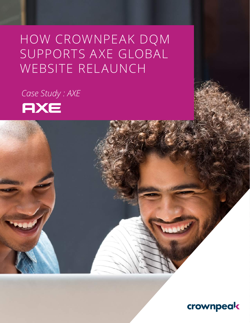## SUPPORTS A XE GLOBAL HOW CROWNPEAK DQM WEBSITE RELAUNCH

*Case Study : AXE* 



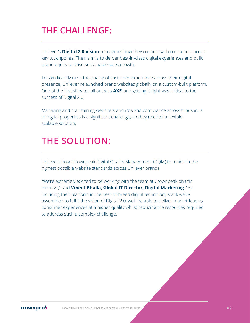## **THE CHALLENGE:**

Unilever's **Digital 2.0 Vision** reimagines how they connect with consumers across key touchpoints. Their aim is to deliver best-in-class digital experiences and build brand equity to drive sustainable sales growth.

To significantly raise the quality of customer experience across their digital presence, Unilever relaunched brand websites globally on a custom-built platform. One of the first sites to roll out was **AXE**, and getting it right was critical to the success of Digital 2.0.

Managing and maintaining website standards and compliance across thousands of digital properties is a significant challenge, so they needed a flexible, scalable solution.

### **THE SOLUTION:**

Unilever chose Crownpeak Digital Quality Management (DQM) to maintain the highest possible website standards across Unilever brands.

"We're extremely excited to be working with the team at Crownpeak on this initiative," said **Vineet Bhalla, Global IT Director, Digital Marketing**. "By including their platform in the best-of-breed digital technology stack we've assembled to fulfill the vision of Digital 2.0, we'll be able to deliver market-leading consumer experiences at a higher quality whilst reducing the resources required to address such a complex challenge."

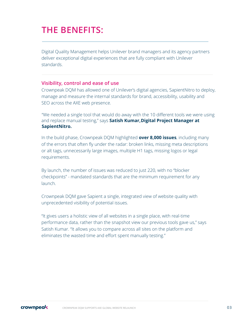## **THE BENEFITS:**

Digital Quality Management helps Unilever brand managers and its agency partners deliver exceptional digital experiences that are fully compliant with Unilever standards.

#### **Visibility, control and ease of use**

Crownpeak DQM has allowed one of Unilever's digital agencies, SapientNitro to deploy, manage and measure the internal standards for brand, accessibility, usability and SEO across the AXE web presence.

"We needed a single tool that would do away with the 10 different tools we were using and replace manual testing," says **Satish Kumar,Digital Project Manager at SapientNitro.** 

In the build phase, Crownpeak DQM highlighted **over 8,000 issues**, including many of the errors that often fly under the radar: broken links, missing meta descriptions or alt tags, unnecessarily large images, multiple H1 tags, missing logos or legal requirements.

By launch, the number of issues was reduced to just 220, with no "blocker checkpoints" - mandated standards that are the minimum requirement for any launch.

Crownpeak DQM gave Sapient a single, integrated view of website quality with unprecedented visibility of potential issues.

"It gives users a holistic view of all websites in a single place, with real-time performance data, rather than the snapshot view our previous tools gave us," says Satish Kumar. "It allows you to compare across all sites on the platform and eliminates the wasted time and effort spent manually testing."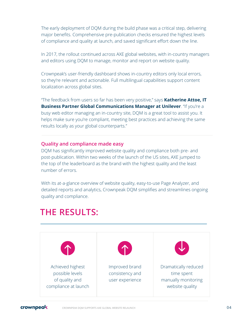The early deployment of DQM during the build phase was a critical step, delivering major benefits. Comprehensive pre-publication checks ensured the highest levels of compliance and quality at launch, and saved significant effort down the line.

In 2017, the rollout continued across AXE global websites, with in-country managers and editors using DQM to manage, monitor and report on website quality.

Crownpeak's user-friendly dashboard shows in-country editors only local errors, so they're relevant and actionable. Full multilingual capabilities support content localization across global sites.

"The feedback from users so far has been very positive," says **Katherine Attoe, IT Business Partner Global Communications Manager at Unilever**. "If you're a busy web editor managing an in-country site, DQM is a great tool to assist you. It helps make sure you're compliant, meeting best practices and achieving the same results locally as your global counterparts."

#### **Quality and compliance made easy**

DQM has significantly improved website quality and compliance both pre- and post-publication. Within two weeks of the launch of the US sites, AXE jumped to the top of the leaderboard as the brand with the highest quality and the least number of errors.

With its at-a-glance overview of website quality, easy-to-use Page Analyzer, and detailed reports and analytics, Crownpeak DQM simplifies and streamlines ongoing quality and compliance.

## **THE RESULTS:**